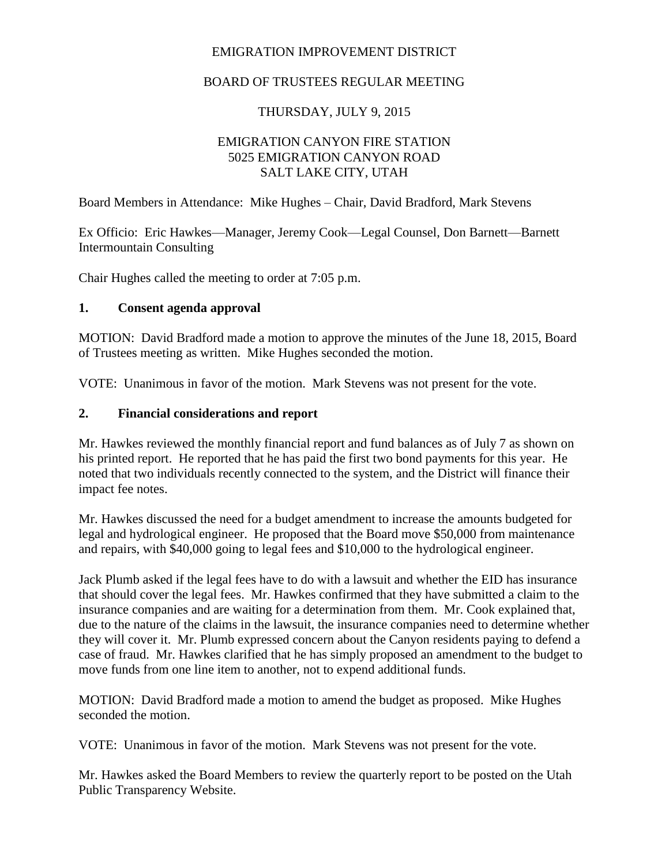## EMIGRATION IMPROVEMENT DISTRICT

## BOARD OF TRUSTEES REGULAR MEETING

## THURSDAY, JULY 9, 2015

### EMIGRATION CANYON FIRE STATION 5025 EMIGRATION CANYON ROAD SALT LAKE CITY, UTAH

Board Members in Attendance: Mike Hughes – Chair, David Bradford, Mark Stevens

Ex Officio: Eric Hawkes—Manager, Jeremy Cook—Legal Counsel, Don Barnett—Barnett Intermountain Consulting

Chair Hughes called the meeting to order at 7:05 p.m.

#### **1. Consent agenda approval**

MOTION: David Bradford made a motion to approve the minutes of the June 18, 2015, Board of Trustees meeting as written. Mike Hughes seconded the motion.

VOTE: Unanimous in favor of the motion. Mark Stevens was not present for the vote.

#### **2. Financial considerations and report**

Mr. Hawkes reviewed the monthly financial report and fund balances as of July 7 as shown on his printed report. He reported that he has paid the first two bond payments for this year. He noted that two individuals recently connected to the system, and the District will finance their impact fee notes.

Mr. Hawkes discussed the need for a budget amendment to increase the amounts budgeted for legal and hydrological engineer. He proposed that the Board move \$50,000 from maintenance and repairs, with \$40,000 going to legal fees and \$10,000 to the hydrological engineer.

Jack Plumb asked if the legal fees have to do with a lawsuit and whether the EID has insurance that should cover the legal fees. Mr. Hawkes confirmed that they have submitted a claim to the insurance companies and are waiting for a determination from them. Mr. Cook explained that, due to the nature of the claims in the lawsuit, the insurance companies need to determine whether they will cover it. Mr. Plumb expressed concern about the Canyon residents paying to defend a case of fraud. Mr. Hawkes clarified that he has simply proposed an amendment to the budget to move funds from one line item to another, not to expend additional funds.

MOTION: David Bradford made a motion to amend the budget as proposed. Mike Hughes seconded the motion.

VOTE: Unanimous in favor of the motion. Mark Stevens was not present for the vote.

Mr. Hawkes asked the Board Members to review the quarterly report to be posted on the Utah Public Transparency Website.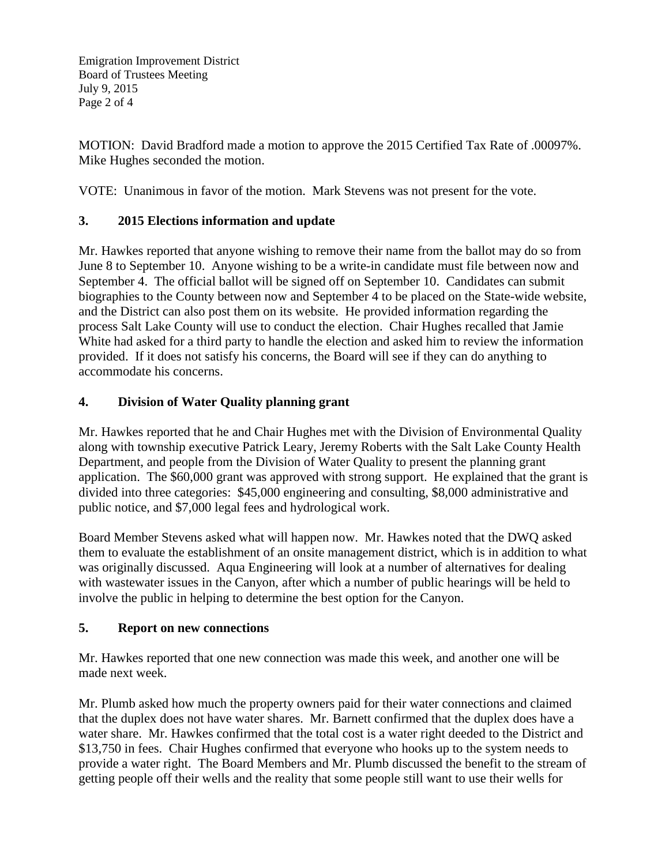Emigration Improvement District Board of Trustees Meeting July 9, 2015 Page 2 of 4

MOTION: David Bradford made a motion to approve the 2015 Certified Tax Rate of .00097%. Mike Hughes seconded the motion.

VOTE: Unanimous in favor of the motion. Mark Stevens was not present for the vote.

#### **3. 2015 Elections information and update**

Mr. Hawkes reported that anyone wishing to remove their name from the ballot may do so from June 8 to September 10. Anyone wishing to be a write-in candidate must file between now and September 4. The official ballot will be signed off on September 10. Candidates can submit biographies to the County between now and September 4 to be placed on the State-wide website, and the District can also post them on its website. He provided information regarding the process Salt Lake County will use to conduct the election. Chair Hughes recalled that Jamie White had asked for a third party to handle the election and asked him to review the information provided. If it does not satisfy his concerns, the Board will see if they can do anything to accommodate his concerns.

#### **4. Division of Water Quality planning grant**

Mr. Hawkes reported that he and Chair Hughes met with the Division of Environmental Quality along with township executive Patrick Leary, Jeremy Roberts with the Salt Lake County Health Department, and people from the Division of Water Quality to present the planning grant application. The \$60,000 grant was approved with strong support. He explained that the grant is divided into three categories: \$45,000 engineering and consulting, \$8,000 administrative and public notice, and \$7,000 legal fees and hydrological work.

Board Member Stevens asked what will happen now. Mr. Hawkes noted that the DWQ asked them to evaluate the establishment of an onsite management district, which is in addition to what was originally discussed. Aqua Engineering will look at a number of alternatives for dealing with wastewater issues in the Canyon, after which a number of public hearings will be held to involve the public in helping to determine the best option for the Canyon.

#### **5. Report on new connections**

Mr. Hawkes reported that one new connection was made this week, and another one will be made next week.

Mr. Plumb asked how much the property owners paid for their water connections and claimed that the duplex does not have water shares. Mr. Barnett confirmed that the duplex does have a water share. Mr. Hawkes confirmed that the total cost is a water right deeded to the District and \$13,750 in fees. Chair Hughes confirmed that everyone who hooks up to the system needs to provide a water right. The Board Members and Mr. Plumb discussed the benefit to the stream of getting people off their wells and the reality that some people still want to use their wells for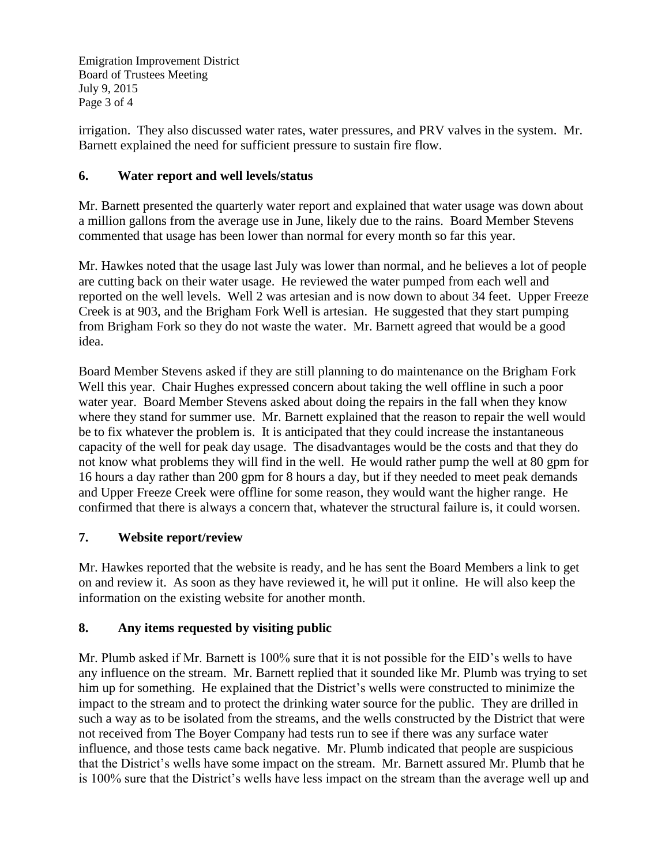Emigration Improvement District Board of Trustees Meeting July 9, 2015 Page 3 of 4

irrigation. They also discussed water rates, water pressures, and PRV valves in the system. Mr. Barnett explained the need for sufficient pressure to sustain fire flow.

## **6. Water report and well levels/status**

Mr. Barnett presented the quarterly water report and explained that water usage was down about a million gallons from the average use in June, likely due to the rains. Board Member Stevens commented that usage has been lower than normal for every month so far this year.

Mr. Hawkes noted that the usage last July was lower than normal, and he believes a lot of people are cutting back on their water usage. He reviewed the water pumped from each well and reported on the well levels. Well 2 was artesian and is now down to about 34 feet. Upper Freeze Creek is at 903, and the Brigham Fork Well is artesian. He suggested that they start pumping from Brigham Fork so they do not waste the water. Mr. Barnett agreed that would be a good idea.

Board Member Stevens asked if they are still planning to do maintenance on the Brigham Fork Well this year. Chair Hughes expressed concern about taking the well offline in such a poor water year. Board Member Stevens asked about doing the repairs in the fall when they know where they stand for summer use. Mr. Barnett explained that the reason to repair the well would be to fix whatever the problem is. It is anticipated that they could increase the instantaneous capacity of the well for peak day usage. The disadvantages would be the costs and that they do not know what problems they will find in the well. He would rather pump the well at 80 gpm for 16 hours a day rather than 200 gpm for 8 hours a day, but if they needed to meet peak demands and Upper Freeze Creek were offline for some reason, they would want the higher range. He confirmed that there is always a concern that, whatever the structural failure is, it could worsen.

# **7. Website report/review**

Mr. Hawkes reported that the website is ready, and he has sent the Board Members a link to get on and review it. As soon as they have reviewed it, he will put it online. He will also keep the information on the existing website for another month.

# **8. Any items requested by visiting public**

Mr. Plumb asked if Mr. Barnett is 100% sure that it is not possible for the EID's wells to have any influence on the stream. Mr. Barnett replied that it sounded like Mr. Plumb was trying to set him up for something. He explained that the District's wells were constructed to minimize the impact to the stream and to protect the drinking water source for the public. They are drilled in such a way as to be isolated from the streams, and the wells constructed by the District that were not received from The Boyer Company had tests run to see if there was any surface water influence, and those tests came back negative. Mr. Plumb indicated that people are suspicious that the District's wells have some impact on the stream. Mr. Barnett assured Mr. Plumb that he is 100% sure that the District's wells have less impact on the stream than the average well up and